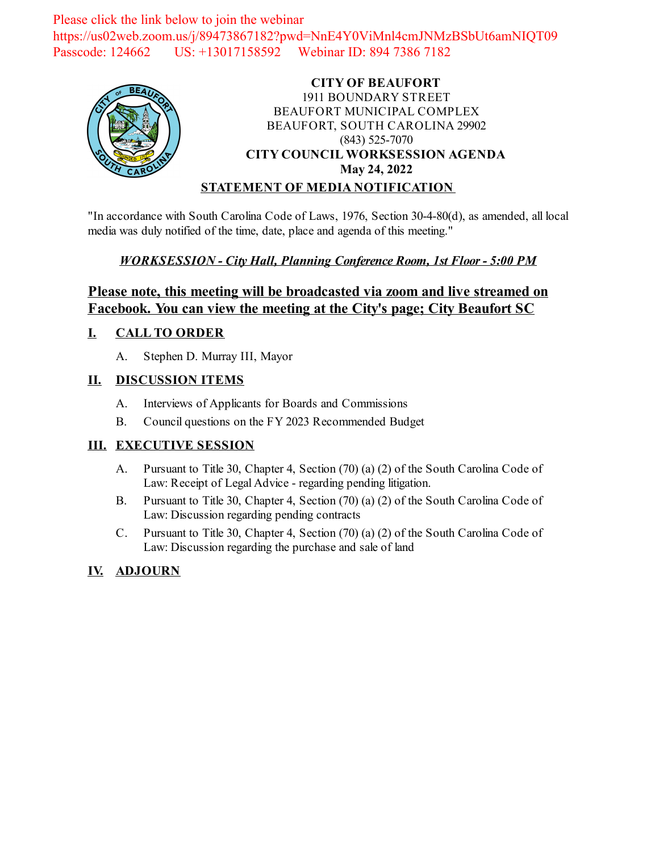Please click the link below to join the webinar https://us02web.zoom.us/j/89473867182?pwd=NnE4Y0ViMnl4cmJNMzBSbUt6amNIQT09 Passcode: 124662 US: +13017158592 Webinar ID: 894 7386 7182



#### **CITY OF BEAUFORT** 1911 BOUNDARY STREET BEAUFORT MUNICIPAL COMPLEX BEAUFORT, SOUTH CAROLINA 29902 (843) 525-7070 **CITY COUNCIL WORKSESSION AGENDA May 24, 2022 STATEMENT OF MEDIA NOTIFICATION**

"In accordance with South Carolina Code of Laws, 1976, Section 30-4-80(d), as amended, all local media was duly notified of the time, date, place and agenda of this meeting."

### *WORKSESSION - City Hall, Planning Conference Room, 1st Floor - 5:00 PM*

## **Please note, this meeting will be broadcasted via zoom and live streamed on Facebook. You can view the meeting at the City's page; City Beaufort SC**

#### **I. CALL TO ORDER**

A. Stephen D. Murray III, Mayor

### **II. DISCUSSION ITEMS**

- A. Interviews of Applicants for Boards and Commissions
- B. Council questions on the FY 2023 Recommended Budget

## **III. EXECUTIVE SESSION**

- A. Pursuant to Title 30, Chapter 4, Section (70) (a) (2) of the South Carolina Code of Law: Receipt of Legal Advice - regarding pending litigation.
- B. Pursuant to Title 30, Chapter 4, Section (70) (a) (2) of the South Carolina Code of Law: Discussion regarding pending contracts
- C. Pursuant to Title 30, Chapter 4, Section (70) (a) (2) of the South Carolina Code of Law: Discussion regarding the purchase and sale of land

## **IV. ADJOURN**